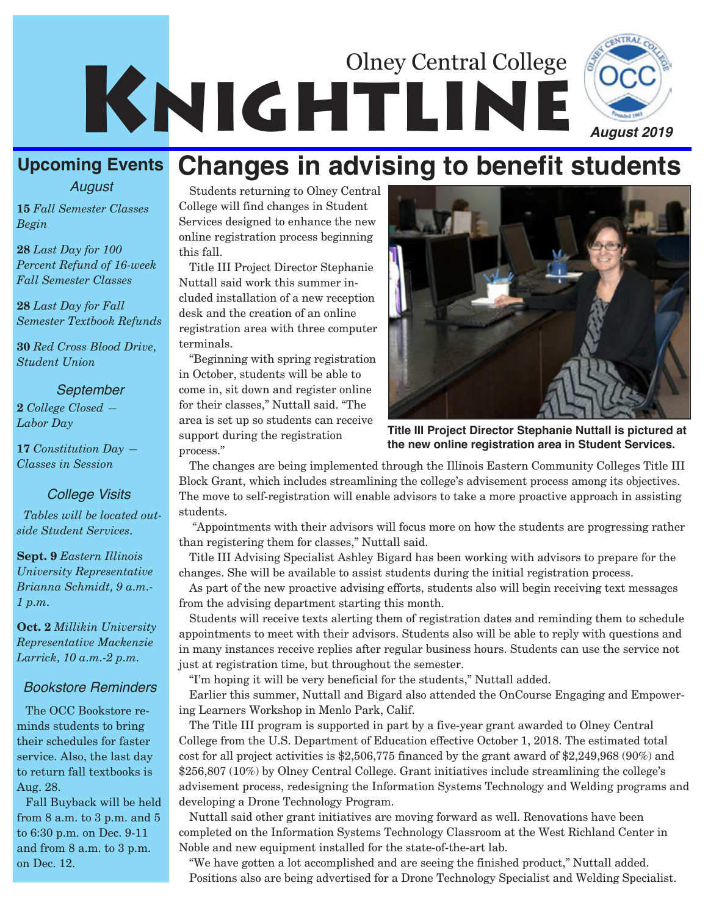

#### **Upcoming Events** *August* **Changes in advising to benefit students**

**15** *Fall Semester Classes Begin*

**28** *Last Day for 100 Percent Refund of 16-week Fall Semester Classes*

**28** *Last Day for Fall Semester Textbook Refunds*

**30** *Red Cross Blood Drive, Student Union*

#### *September*

**2** *College Closed — Labor Day*

**17** *Constitution Day — Classes in Session*

#### *College Visits*

*Tables will be located outside Student Services.* 

**Sept. 9** *Eastern Illinois University Representative Brianna Schmidt, 9 a.m.- 1 p.m.*

**Oct. 2** *Millikin University Representative Mackenzie Larrick, 10 a.m.-2 p.m.*

#### *Bookstore Reminders*

The OCC Bookstore reminds students to bring their schedules for faster service. Also, the last day to return fall textbooks is Aug. 28.

Fall Buyback will be held from 8 a.m. to 3 p.m. and 5 to 6:30 p.m. on Dec. 9-11 and from 8 a.m. to 3 p.m. on Dec. 12.

Students returning to Olney Central College will find changes in Student Services designed to enhance the new online registration process beginning this fall.

Title III Project Director Stephanie Nuttall said work this summer included installation of a new reception desk and the creation of an online registration area with three computer terminals.

"Beginning with spring registration in October, students will be able to come in, sit down and register online for their classes," Nuttall said. "The area is set up so students can receive support during the registration process."



**Title III Project Director Stephanie Nuttall is pictured at the new online registration area in Student Services.**

The changes are being implemented through the Illinois Eastern Community Colleges Title III Block Grant, which includes streamlining the college's advisement process among its objectives. The move to self-registration will enable advisors to take a more proactive approach in assisting students.

"Appointments with their advisors will focus more on how the students are progressing rather than registering them for classes," Nuttall said.

Title III Advising Specialist Ashley Bigard has been working with advisors to prepare for the changes. She will be available to assist students during the initial registration process.

As part of the new proactive advising efforts, students also will begin receiving text messages from the advising department starting this month.

Students will receive texts alerting them of registration dates and reminding them to schedule appointments to meet with their advisors. Students also will be able to reply with questions and in many instances receive replies after regular business hours. Students can use the service not just at registration time, but throughout the semester.

"I'm hoping it will be very beneficial for the students," Nuttall added.

Earlier this summer, Nuttall and Bigard also attended the OnCourse Engaging and Empowering Learners Workshop in Menlo Park, Calif.

The Title III program is supported in part by a five-year grant awarded to Olney Central College from the U.S. Department of Education effective October 1, 2018. The estimated total cost for all project activities is \$2,506,775 financed by the grant award of \$2,249,968 (90%) and \$256,807 (10%) by Olney Central College. Grant initiatives include streamlining the college's advisement process, redesigning the Information Systems Technology and Welding programs and developing a Drone Technology Program.

Nuttall said other grant initiatives are moving forward as well. Renovations have been completed on the Information Systems Technology Classroom at the West Richland Center in Noble and new equipment installed for the state-of-the-art lab.

"We have gotten a lot accomplished and are seeing the finished product," Nuttall added. Positions also are being advertised for a Drone Technology Specialist and Welding Specialist.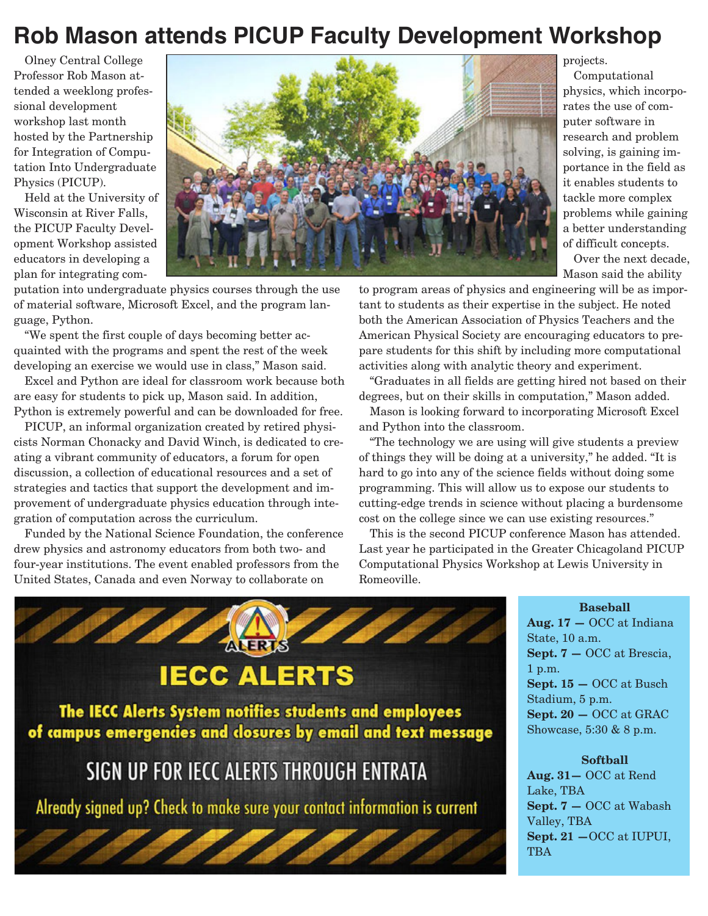### **Rob Mason attends PICUP Faculty Development Workshop**

Olney Central College Professor Rob Mason attended a weeklong professional development workshop last month hosted by the Partnership for Integration of Computation Into Undergraduate Physics (PICUP).

Held at the University of Wisconsin at River Falls, the PICUP Faculty Development Workshop assisted educators in developing a plan for integrating com-



putation into undergraduate physics courses through the use of material software, Microsoft Excel, and the program language, Python.

"We spent the first couple of days becoming better acquainted with the programs and spent the rest of the week developing an exercise we would use in class," Mason said.

Excel and Python are ideal for classroom work because both are easy for students to pick up, Mason said. In addition, Python is extremely powerful and can be downloaded for free.

PICUP, an informal organization created by retired physicists Norman Chonacky and David Winch, is dedicated to creating a vibrant community of educators, a forum for open discussion, a collection of educational resources and a set of strategies and tactics that support the development and improvement of undergraduate physics education through integration of computation across the curriculum.

Funded by the National Science Foundation, the conference drew physics and astronomy educators from both two- and four-year institutions. The event enabled professors from the United States, Canada and even Norway to collaborate on

projects.

Computational physics, which incorporates the use of computer software in research and problem solving, is gaining importance in the field as it enables students to tackle more complex problems while gaining a better understanding of difficult concepts.

Over the next decade, Mason said the ability

to program areas of physics and engineering will be as important to students as their expertise in the subject. He noted both the American Association of Physics Teachers and the American Physical Society are encouraging educators to prepare students for this shift by including more computational activities along with analytic theory and experiment.

"Graduates in all fields are getting hired not based on their degrees, but on their skills in computation," Mason added.

Mason is looking forward to incorporating Microsoft Excel and Python into the classroom.

"The technology we are using will give students a preview of things they will be doing at a university," he added. "It is hard to go into any of the science fields without doing some programming. This will allow us to expose our students to cutting-edge trends in science without placing a burdensome cost on the college since we can use existing resources."

This is the second PICUP conference Mason has attended. Last year he participated in the Greater Chicagoland PICUP Computational Physics Workshop at Lewis University in Romeoville.

#### **Baseball**

**Aug. 17 —** OCC at Indiana State, 10 a.m. **Sept. 7 —** OCC at Brescia, 1 p.m. **Sept. 15 —** OCC at Busch Stadium, 5 p.m. **Sept. 20 —** OCC at GRAC Showcase, 5:30 & 8 p.m.

## SIGN UP FOR IECC ALERTS THROUGH ENTRATA

ALERTS

**IECC ALERTS** 

The IECC Alerts System notifies students and employees of campus emergencies and closures by email and text message

Already signed up? Check to make sure your contact information is current

**Softball Aug. 31—** OCC at Rend Lake, TBA **Sept. 7 —** OCC at Wabash Valley, TBA **Sept. 21 —**OCC at IUPUI, **TBA**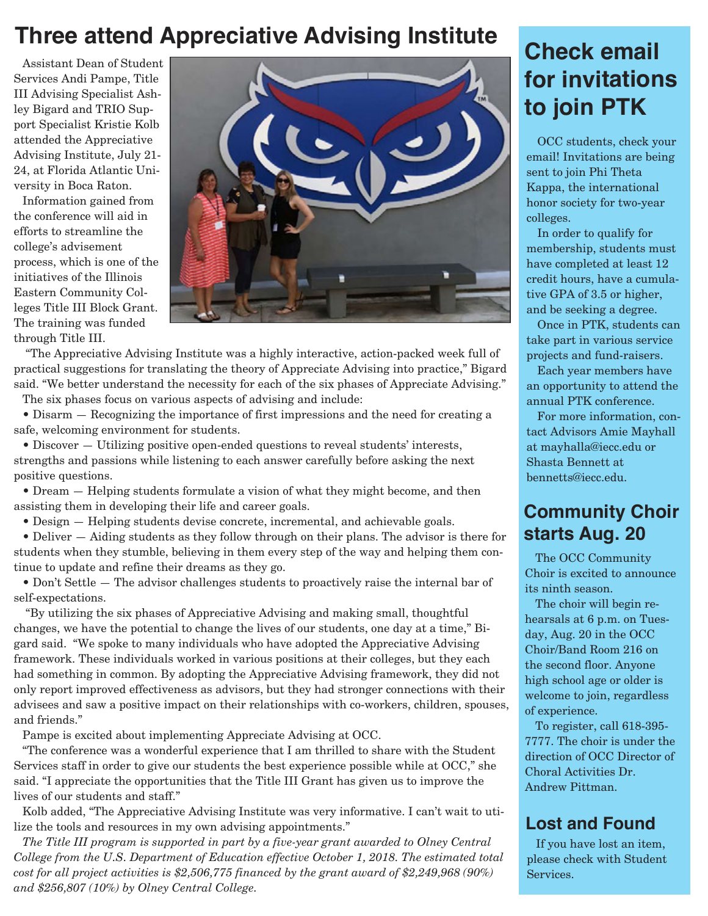### **Three attend Appreciative Advising Institute**

Assistant Dean of Student Services Andi Pampe, Title III Advising Specialist Ashley Bigard and TRIO Support Specialist Kristie Kolb attended the Appreciative Advising Institute, July 21- 24, at Florida Atlantic University in Boca Raton.

Information gained from the conference will aid in efforts to streamline the college's advisement process, which is one of the initiatives of the Illinois Eastern Community Colleges Title III Block Grant. The training was funded through Title III.



"The Appreciative Advising Institute was a highly interactive, action-packed week full of practical suggestions for translating the theory of Appreciate Advising into practice," Bigard said. "We better understand the necessity for each of the six phases of Appreciate Advising."

The six phases focus on various aspects of advising and include:

 $\bullet$  Disarm  $-$  Recognizing the importance of first impressions and the need for creating a safe, welcoming environment for students.

• Discover – Utilizing positive open-ended questions to reveal students' interests, strengths and passions while listening to each answer carefully before asking the next positive questions.

• Dream – Helping students formulate a vision of what they might become, and then assisting them in developing their life and career goals.

• Design – Helping students devise concrete, incremental, and achievable goals.

• Deliver – Aiding students as they follow through on their plans. The advisor is there for students when they stumble, believing in them every step of the way and helping them continue to update and refine their dreams as they go.

• Don't Settle – The advisor challenges students to proactively raise the internal bar of self-expectations.

"By utilizing the six phases of Appreciative Advising and making small, thoughtful changes, we have the potential to change the lives of our students, one day at a time," Bigard said. "We spoke to many individuals who have adopted the Appreciative Advising framework. These individuals worked in various positions at their colleges, but they each had something in common. By adopting the Appreciative Advising framework, they did not only report improved effectiveness as advisors, but they had stronger connections with their advisees and saw a positive impact on their relationships with co-workers, children, spouses, and friends."

Pampe is excited about implementing Appreciate Advising at OCC.

"The conference was a wonderful experience that I am thrilled to share with the Student Services staff in order to give our students the best experience possible while at OCC," she said. "I appreciate the opportunities that the Title III Grant has given us to improve the lives of our students and staff."

Kolb added, "The Appreciative Advising Institute was very informative. I can't wait to utilize the tools and resources in my own advising appointments."

*The Title III program is supported in part by a five-year grant awarded to Olney Central College from the U.S. Department of Education effective October 1, 2018. The estimated total cost for all project activities is \$2,506,775 financed by the grant award of \$2,249,968 (90%) and \$256,807 (10%) by Olney Central College.*

## **Check email for invitations to join PTK**

OCC students, check your email! Invitations are being sent to join Phi Theta Kappa, the international honor society for two-year colleges.

In order to qualify for membership, students must have completed at least 12 credit hours, have a cumulative GPA of 3.5 or higher, and be seeking a degree.

Once in PTK, students can take part in various service projects and fund-raisers.

Each year members have an opportunity to attend the annual PTK conference.

For more information, contact Advisors Amie Mayhall at mayhalla@iecc.edu or Shasta Bennett at bennetts@iecc.edu.

### **Community Choir starts Aug. 20**

The OCC Community Choir is excited to announce its ninth season.

The choir will begin rehearsals at 6 p.m. on Tuesday, Aug. 20 in the OCC Choir/Band Room 216 on the second floor. Anyone high school age or older is welcome to join, regardless of experience.

To register, call 618-395- 7777. The choir is under the direction of OCC Director of Choral Activities Dr. Andrew Pittman.

### **Lost and Found**

If you have lost an item, please check with Student Services.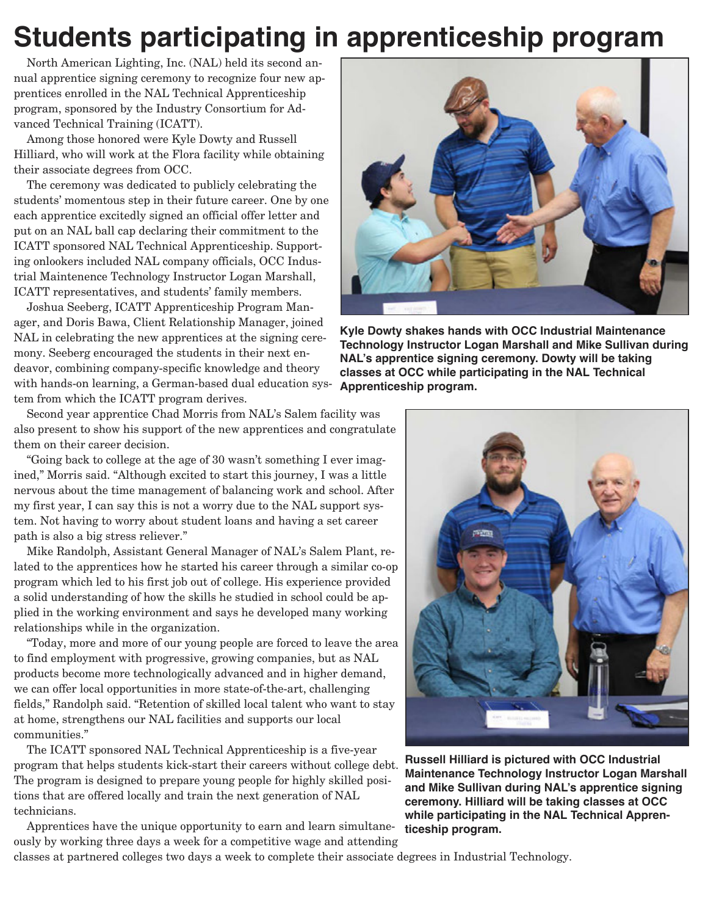# **Students participating in apprenticeship program**

North American Lighting, Inc. (NAL) held its second annual apprentice signing ceremony to recognize four new apprentices enrolled in the NAL Technical Apprenticeship program, sponsored by the Industry Consortium for Advanced Technical Training (ICATT).

Among those honored were Kyle Dowty and Russell Hilliard, who will work at the Flora facility while obtaining their associate degrees from OCC.

The ceremony was dedicated to publicly celebrating the students' momentous step in their future career. One by one each apprentice excitedly signed an official offer letter and put on an NAL ball cap declaring their commitment to the ICATT sponsored NAL Technical Apprenticeship. Supporting onlookers included NAL company officials, OCC Industrial Maintenence Technology Instructor Logan Marshall, ICATT representatives, and students' family members.

Joshua Seeberg, ICATT Apprenticeship Program Manager, and Doris Bawa, Client Relationship Manager, joined NAL in celebrating the new apprentices at the signing ceremony. Seeberg encouraged the students in their next endeavor, combining company-specific knowledge and theory with hands-on learning, a German-based dual education system from which the ICATT program derives.

Second year apprentice Chad Morris from NAL's Salem facility was also present to show his support of the new apprentices and congratulate them on their career decision.

"Going back to college at the age of 30 wasn't something I ever imagined," Morris said. "Although excited to start this journey, I was a little nervous about the time management of balancing work and school. After my first year, I can say this is not a worry due to the NAL support system. Not having to worry about student loans and having a set career path is also a big stress reliever."

Mike Randolph, Assistant General Manager of NAL's Salem Plant, related to the apprentices how he started his career through a similar co-op program which led to his first job out of college. His experience provided a solid understanding of how the skills he studied in school could be applied in the working environment and says he developed many working relationships while in the organization.

"Today, more and more of our young people are forced to leave the area to find employment with progressive, growing companies, but as NAL products become more technologically advanced and in higher demand, we can offer local opportunities in more state-of-the-art, challenging fields," Randolph said. "Retention of skilled local talent who want to stay at home, strengthens our NAL facilities and supports our local communities."

The ICATT sponsored NAL Technical Apprenticeship is a five-year program that helps students kick-start their careers without college debt. The program is designed to prepare young people for highly skilled positions that are offered locally and train the next generation of NAL technicians.

Apprentices have the unique opportunity to earn and learn simultaneously by working three days a week for a competitive wage and attending

classes at partnered colleges two days a week to complete their associate degrees in Industrial Technology.



**Kyle Dowty shakes hands with OCC Industrial Maintenance Technology Instructor Logan Marshall and Mike Sullivan during NAL's apprentice signing ceremony. Dowty will be taking classes at OCC while participating in the NAL Technical Apprenticeship program.**



**Russell Hilliard is pictured with OCC Industrial Maintenance Technology Instructor Logan Marshall and Mike Sullivan during NAL's apprentice signing ceremony. Hilliard will be taking classes at OCC while participating in the NAL Technical Apprenticeship program.**